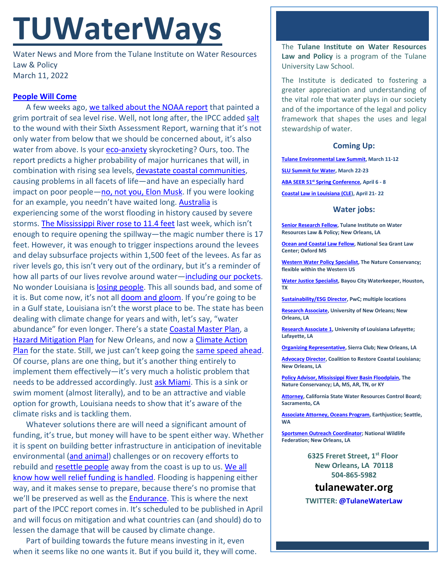# **TUWaterWays**

Water News and More from the Tulane Institute on Water Resources Law & Policy March 11, 2022

## **[People Will Come](https://www.youtube.com/watch?v=7SB16il97yw)**

A few weeks ago, [we talked about the NOAA report](https://www.tulanewater.org/_files/ugd/32079b_c7545b20ecfb49039a9c7ea2d889be2b.pdf) that painted a grim portrait of sea level rise. Well, not long after, the IPCC added [salt](https://www.youtube.com/watch?v=oKQ4uv_e2FQ) to the wound with their Sixth Assessment Report, warning that it's not only water from below that we should be concerned about, it's also water from above. Is your [eco-anxiety](https://www.scientificamerican.com/article/therapists-are-reckoning-with-eco-anxiety/) skyrocketing? Ours, too. The report predicts a higher probability of major hurricanes that will, in combination with rising sea levels, [devastate coastal communities,](https://apnews.com/article/climate-science-asia-indonesia-united-nations-fe0ae4d5e210a3f390ad2a7a3b798d02) causing problems in all facets of life—and have an especially hard impact on poor people[—no, not you, Elon Musk.](https://www.vanityfair.com/style/2022/03/grimes-cover-story-on-music-and-mars) If you were looking for an example, you needn't have waited long. [Australia](https://www.nytimes.com/2022/03/09/world/australia/nsw-floods.html) is experiencing some of the worst flooding in history caused by severe storms. [The Mississippi River rose to 11.4 feet](https://www.nola.com/news/environment/article_7b13b2d4-9a52-11ec-b1c1-f77be8ff887d.html) last week, which isn't enough to require opening the spillway—the magic number there is 17 feet. However, it was enough to trigger inspections around the levees and delay subsurface projects within 1,500 feet of the levees. As far as river levels go, this isn't very out of the ordinary, but it's a reminder of how all parts of our lives revolve around water[—including our pockets.](https://www.nbcbayarea.com/news/local/climate-in-crisis/rising-seas-could-raise-insurance-rates-of-those-living-near-water/2816932/) No wonder Louisiana i[s losing people.](https://www.nola.com/news/politics/article_c9a00050-637b-11ec-a1a3-773fc5fa7af3.html#:%7E:text=Louisiana) This all sounds bad, and some of it is. But come now, it's not all **doom and gloom**. If you're going to be in a Gulf state, Louisiana isn't the worst place to be. The state has been dealing with climate change for years and with, let's say, "water abundance" for even longer. There's a state [Coastal Master Plan,](https://coastal.la.gov/our-plan/2017-coastal-master-plan/) a [Hazard Mitigation Plan](https://ready.nola.gov/hazard-mitigation/home/) for New Orleans, and now a [Climate Action](https://gov.louisiana.gov/assets/docs/CCI-Task-force/CAP/Climate_Action_Plan_FINAL_3.pdf)  [Plan](https://gov.louisiana.gov/assets/docs/CCI-Task-force/CAP/Climate_Action_Plan_FINAL_3.pdf) for the state. Still, we just can't keep going the [same speed ahead.](https://www.youtube.com/watch?v=J6nJIZu4Hdg) Of course, plans are one thing, but it's another thing entirely to implement them effectively—it's very much a holistic problem that needs to be addressed accordingly. Just [ask Miami.](https://www.miamiherald.com/news/local/environment/article258869528.html) This is a sink or swim moment (almost literally), and to be an attractive and viable option for growth, Louisiana needs to show that it's aware of the climate risks and is tackling them.

Whatever solutions there are will need a significant amount of funding, it's true, but money will have to be spent either way. Whether it is spent on building better infrastructure in anticipation of inevitable environmental [\(and animal\)](https://www.nola.com/news/business/article_4316d734-9fc6-11ec-bf0e-237a7624d5c9.html) challenges or on recovery efforts to rebuild and [resettle people](https://www.nytimes.com/2016/05/03/us/resettling-the-first-american-climate-refugees.html) away from the coast is up to us. We all [know how well relief funding is handled.](https://subscriber.politicopro.com/article/eenews/2022/03/08/hud-says-texas-agency-discriminated-in-flood-relief-funding-00015301) Flooding is happening either way, and it makes sense to prepare, because there's no promise that we'll be preserved as well as the [Endurance.](https://www.nbcnews.com/news/world/ernest-shackletons-ship-endurance-antarctica-sea-106-years-1915-rcna19264?cid=sm_npd_nn_fb_nw&fbclid=IwAR2v3jQ6zA-L33M-ILKM6kW89ARFyh9x8DRROnlVYRexCBRieI91mCbwHto) This is where the next part of the IPCC report comes in. It's scheduled to be published in April and will focus on mitigation and what countries can (and should) do to lessen the damage that will be caused by climate change.

Part of building towards the future means investing in it, even when it seems like no one wants it. But if you build it, they will come. The **Tulane Institute on Water Resources Law and Policy** is a program of the Tulane University Law School.

The Institute is dedicated to fostering a greater appreciation and understanding of the vital role that water plays in our society and of the importance of the legal and policy framework that shapes the uses and legal stewardship of water.

### **Coming Up:**

**[Tulane Environmental Law Summit,](https://tulaneenvironmentallawsummit.com/) March 11-12**

**[SLU Summit for Water,](https://alumni.slu.edu/s/1264/17/interior.aspx?sid=1264&gid=1&pgid=7449&cid=11949&ecid=11949&authkey=1GIUG66MBlSRTyxOQXMX1ItgKKu8ZhdwPGDJbRDPxYcaqd4VyWh5xQ%3d%3d) March 22-23**

**ABA SEER 51st [Spring Conference,](https://web.cvent.com/event/ea6dee84-227d-4bf5-8ee7-4b12deb77aa5/summary) April 6 - 8**

**[Coastal Law in Louisiana \(CLE\)](https://www.theseminargroup.net/seminardetl.aspx?id=22.shrNO), April 21- 22**

#### **Water jobs:**

**[Senior Research Fellow,](https://jobs.tulane.edu/position/IRC22821) Tulane Institute on Water Resources Law & Policy; New Orleans, LA**

**[Ocean and Coastal Law Fellow,](https://careers.olemiss.edu/job/University-Law-Fellow%2C-Temporary-MS-38677/834883200/) National Sea Grant Law Center; Oxford MS**

**[Western Water Policy Specialist,](https://www.joshswaterjobs.com/jobs/125471/) The Nature Conservancy; flexible within the Western US**

**[Water Justice Specialist,](https://bayoucitywaterkeeper.org/wp-content/uploads/2022/01/Water-Justice-Specialist.pdf) Bayou City Waterkeeper, Houston, TX**

**[Sustainability/ESG Director,](https://jobs.us.pwc.com/job/-/-/932/8531402784?utm_source=linkedin.com&utm_campaign=core_media&utm_medium=social_media&utm_content=job_posting&ss=paid&dclid=CIHN-by5yvMCFUvrwAodK4kFqw) PwC; multiple locations**

**[Research Associate,](https://ulsuno.wd1.myworkdayjobs.com/en-US/UniversityOfNewOrleans/job/New-Orleans-La/Research-Associate-1_R-000365) University of New Orleans; New Orleans, LA**

**[Research Associate 1,](https://louisiana.csod.com/ux/ats/careersite/1/home/requisition/1576?c=louisiana) University of Louisiana Lafayette; Lafayette, LA**

**[Organizing Representative,](https://phf.tbe.taleo.net/phf01/ats/careers/v2/viewRequisition?org=SIERRACLUB&cws=39&rid=1816) Sierra Club; New Orleans, LA**

**[Advocacy Director,](https://www.crcl.org/_files/ugd/d2b7de_8fd72f2538bb45fba446d0afeb90d7a0.pdf) Coalition to Restore Coastal Louisiana; New Orleans, LA**

**[Policy Advisor, Mississippi River Basin Floodplain,](https://careers.nature.org/psc/tnccareers/APPLICANT/APPL/c/HRS_HRAM_FL.HRS_CG_SEARCH_FL.GBL?Page=HRS_APP_JBPST_FL&Action=U&FOCUS=Applicant&SiteId=1&JobOpeningId=51036&PostingSeq=1&PortalActualURL=https%3a%2f%2fcareers.nature.org%2fpsc%2ftnccareers%2fAPPLICANT%2fAPPL%2fc%2fHRS_HRAM_FL.HRS_CG_SEARCH_FL.GBL%3fPage%3dHRS_APP_JBPST_FL%26Action%3dU%26FOCUS%3dApplicant%26SiteId%3d1%26JobOpeningId%3d51036%26PostingSeq%3d1&PortalRegistryName=APPLICANT&PortalServletURI=https%3a%2f%2fcareers.nature.org%2fpsp%2ftnccareers%2f&PortalURI=https%3a%2f%2fcareers.nature.org%2fpsc%2ftnccareers%2f&PortalHostNode=APPL&NoCrumbs=yes&PortalKeyStruct=yes) The Nature Conservancy; LA, MS, AR, TN, or KY**

**[Attorney,](https://www.calcareers.ca.gov/CalHrPublic/Jobs/JobPosting.aspx?JobControlId=253429) California State Water Resources Control Board; Sacramento, CA**

**[Associate Attorney, Oceans Program,](https://jobs.americanbar.org/job/associate-attorney-oceans-program-open-to-other-locations/61796058/?utm_source=JobsEmail&utm_medium=Email&utm_content=JobPost&utm_campaign=Feb-28) Earthjustice; Seattle, WA**

**[Sportsmen Outreach Coordinator;](https://recruiting.ultipro.com/NAT1047NWF/JobBoard/1ca8346a-33cc-401d-90d9-d7f752fdfd7d/OpportunityDetail?opportunityId=6ab7c4a8-e58e-413c-9fee-065ae1e4aee2) National Wildlife Federation; New Orleans, LA**

> **6325 Freret Street, 1st Floor New Orleans, LA 70118 504-865-5982**

**tulanewater.org**

**TWITTER: [@TulaneWaterLaw](http://www.twitter.com/TulaneWaterLaw)**